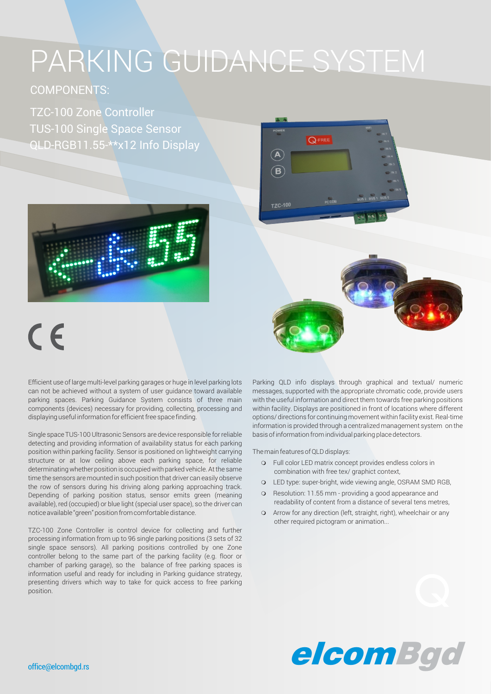# PARKING GUIDANCE SYSTEM

### COMPONENTS:

TZC-100 Zone Controller TUS-100 Single Space Sensor QLD-RGB11.55-\*\*x12 Info Display



# $\epsilon$

Efficient use of large multi-level parking garages or huge in level parking lots can not be achieved without a system of user guidance toward available parking spaces. Parking Guidance System consists of three main components (devices) necessary for providing, collecting, processing and displaying useful information for efficient free space finding.

Single space TUS-100 Ultrasonic Sensors are device responsible for reliable detecting and providing information of availability status for each parking position within parking facility. Sensor is positioned on lightweight carrying structure or at low ceiling above each parking space, for reliable determinating whether position is occupied with parked vehicle. At the same time the sensors are mounted in such position that driver can easily observe the row of sensors during his driving along parking approaching track. Depending of parking position status, sensor emits green (meaning available), red (occupied) or blue light (special user space), so the driver can notice available "green" position from comfortable distance.

TZC-100 Zone Controller is control device for collecting and further processing information from up to 96 single parking positions (3 sets of 32 single space sensors). All parking positions controlled by one Zone controller belong to the same part of the parking facility (e.g. floor or chamber of parking garage), so the balance of free parking spaces is information useful and ready for including in Parking guidance strategy, presenting drivers which way to take for quick access to free parking position.



The main features of QLD displays:

Q-FREE

 $\overline{B}$ 

- o Full color LED matrix concept provides endless colors in combination with free tex/ graphict context,
- o LED type: super-bright, wide viewing angle, OSRAM SMD RGB,
- **o** Resolution: 11.55 mm providing a good appearance and readability of content from a distance of several tens metres,
- **o** Arrow for any direction (left, straight, right), wheelchair or any other required pictogram or animation...